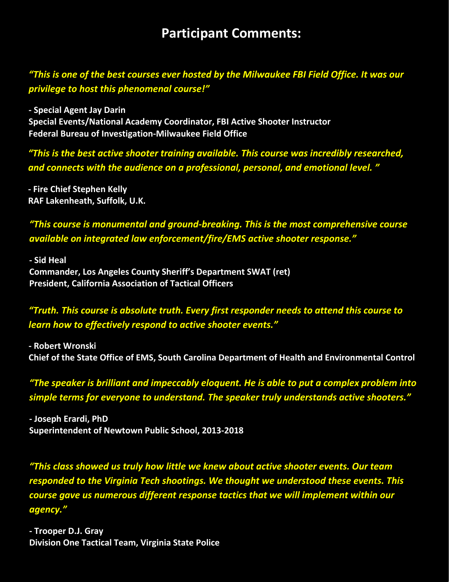# **Participant Comments:**

*"This is one of the best courses ever hosted by the Milwaukee FBI Field Office. It was our privilege to host this phenomenal course!"* 

**‐ Special Agent Jay Darin Special Events/National Academy Coordinator, FBI Active Shooter Instructor Federal Bureau of Investigation‐Milwaukee Field Office**

*"This is the best active shooter training available. This course was incredibly researched, and connects with the audience on a professional, personal, and emotional level. "* 

**‐ Fire Chief Stephen Kelly RAF Lakenheath, Suffolk, U.K.** 

*"This course is monumental and ground‐breaking. This is the most comprehensive course available on integrated law enforcement/fire/EMS active shooter response."* 

**‐ Sid Heal Commander, Los Angeles County Sheriff's Department SWAT (ret) President, California Association of Tactical Officers**

# *"Truth. This course is absolute truth. Every first responder needs to attend this course to learn how to effectively respond to active shooter events."*

**‐ Robert Wronski Chief of the State Office of EMS, South Carolina Department of Health and Environmental Control** 

*"The speaker is brilliant and impeccably eloquent. He is able to put a complex problem into simple terms for everyone to understand. The speaker truly understands active shooters."* 

**‐ Joseph Erardi, PhD Superintendent of Newtown Public School, 2013‐2018** 

*"This class showed us truly how little we knew about active shooter events. Our team responded to the Virginia Tech shootings. We thought we understood these events. This course gave us numerous different response tactics that we will implement within our agency."* 

**Division One Tactical Team, Virginia State Police ‐ Trooper D.J. Gray**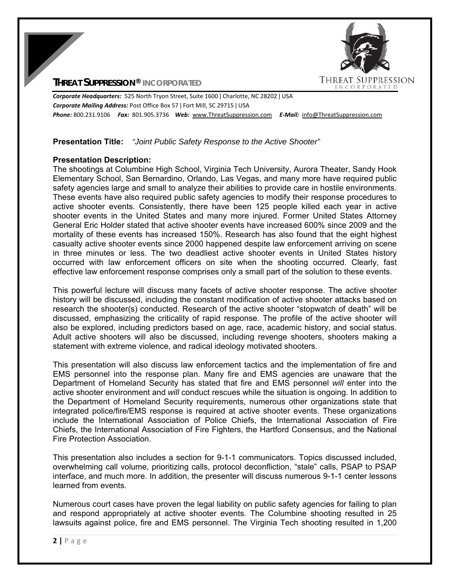## **THREAT SUPPRESSION® INCORPORATED**



*Corporate Headquarters:* 525 North Tryon Street, Suite 1600 ǀ Charlotte, NC 28202 ǀ USA *Corporate Mailing Address:* Post Office Box 57 ǀ Fort Mill, SC 29715 ǀ USA *Phone:* 800.231.9106  *Fax:* 801.905.3736 *Web:* www.ThreatSuppression.com *E‐Mail:*  info@ThreatSuppression.com

#### **Presentation Title:** *"Joint Public Safety Response to the Active Shooter"*

#### **Presentation Description:**

The shootings at Columbine High School, Virginia Tech University, Aurora Theater, Sandy Hook Elementary School, San Bernardino, Orlando, Las Vegas, and many more have required public safety agencies large and small to analyze their abilities to provide care in hostile environments. These events have also required public safety agencies to modify their response procedures to active shooter events. Consistently, there have been 125 people killed each year in active shooter events in the United States and many more injured. Former United States Attorney General Eric Holder stated that active shooter events have increased 600% since 2009 and the mortality of these events has increased 150%. Research has also found that the eight highest casualty active shooter events since 2000 happened despite law enforcement arriving on scene in three minutes or less. The two deadliest active shooter events in United States history occurred with law enforcement officers on site when the shooting occurred. Clearly, fast effective law enforcement response comprises only a small part of the solution to these events.

This powerful lecture will discuss many facets of active shooter response. The active shooter history will be discussed, including the constant modification of active shooter attacks based on research the shooter(s) conducted. Research of the active shooter "stopwatch of death" will be discussed, emphasizing the criticality of rapid response. The profile of the active shooter will also be explored, including predictors based on age, race, academic history, and social status. Adult active shooters will also be discussed, including revenge shooters, shooters making a statement with extreme violence, and radical ideology motivated shooters.

This presentation will also discuss law enforcement tactics and the implementation of fire and EMS personnel into the response plan. Many fire and EMS agencies are unaware that the Department of Homeland Security has stated that fire and EMS personnel *will* enter into the active shooter environment and *will* conduct rescues while the situation is ongoing. In addition to the Department of Homeland Security requirements, numerous other organizations state that integrated police/fire/EMS response is required at active shooter events. These organizations include the International Association of Police Chiefs, the International Association of Fire Chiefs, the International Association of Fire Fighters, the Hartford Consensus, and the National Fire Protection Association.

This presentation also includes a section for 9-1-1 communicators. Topics discussed included, overwhelming call volume, prioritizing calls, protocol deconfliction, "stale" calls, PSAP to PSAP interface, and much more. In addition, the presenter will discuss numerous 9-1-1 center lessons learned from events.

Numerous court cases have proven the legal liability on public safety agencies for failing to plan and respond appropriately at active shooter events. The Columbine shooting resulted in 25 lawsuits against police, fire and EMS personnel. The Virginia Tech shooting resulted in 1,200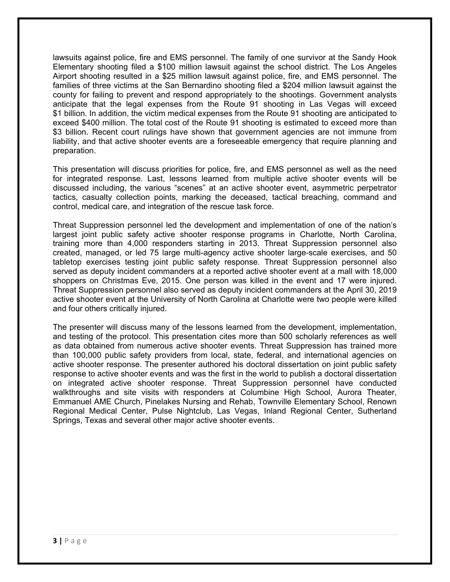lawsuits against police, fire and EMS personnel. The family of one survivor at the Sandy Hook Elementary shooting filed a \$100 million lawsuit against the school district. The Los Angeles Airport shooting resulted in a \$25 million lawsuit against police, fire, and EMS personnel. The families of three victims at the San Bernardino shooting filed a \$204 million lawsuit against the county for failing to prevent and respond appropriately to the shootings. Government analysts anticipate that the legal expenses from the Route 91 shooting in Las Vegas will exceed \$1 billion. In addition, the victim medical expenses from the Route 91 shooting are anticipated to exceed \$400 million. The total cost of the Route 91 shooting is estimated to exceed more than \$3 billion. Recent court rulings have shown that government agencies are not immune from liability, and that active shooter events are a foreseeable emergency that require planning and preparation.

This presentation will discuss priorities for police, fire, and EMS personnel as well as the need for integrated response. Last, lessons learned from multiple active shooter events will be discussed including, the various "scenes" at an active shooter event, asymmetric perpetrator tactics, casualty collection points, marking the deceased, tactical breaching, command and control, medical care, and integration of the rescue task force.

Threat Suppression personnel led the development and implementation of one of the nation's largest joint public safety active shooter response programs in Charlotte, North Carolina, training more than 4,000 responders starting in 2013. Threat Suppression personnel also created, managed, or led 75 large multi-agency active shooter large-scale exercises, and 50 tabletop exercises testing joint public safety response. Threat Suppression personnel also served as deputy incident commanders at a reported active shooter event at a mall with 18,000 shoppers on Christmas Eve, 2015. One person was killed in the event and 17 were injured. Threat Suppression personnel also served as deputy incident commanders at the April 30, 2019 active shooter event at the University of North Carolina at Charlotte were two people were killed and four others critically injured.

The presenter will discuss many of the lessons learned from the development, implementation, and testing of the protocol. This presentation cites more than 500 scholarly references as well as data obtained from numerous active shooter events. Threat Suppression has trained more than 100,000 public safety providers from local, state, federal, and international agencies on active shooter response. The presenter authored his doctoral dissertation on joint public safety response to active shooter events and was the first in the world to publish a doctoral dissertation on integrated active shooter response. Threat Suppression personnel have conducted walkthroughs and site visits with responders at Columbine High School, Aurora Theater, Emmanuel AME Church, Pinelakes Nursing and Rehab, Townville Elementary School, Renown Regional Medical Center, Pulse Nightclub, Las Vegas, Inland Regional Center, Sutherland Springs, Texas and several other major active shooter events.